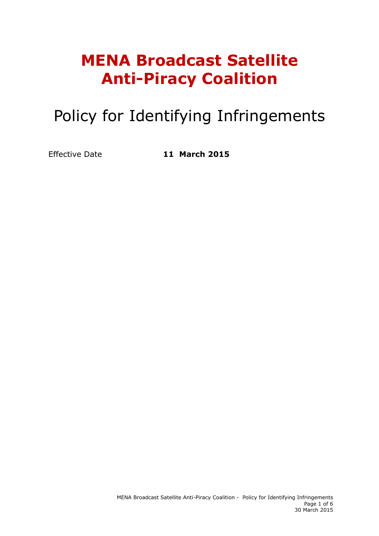# **MENA Broadcast Satellite Anti-Piracy Coalition**

# Policy for Identifying Infringements

Effective Date **11 March 2015**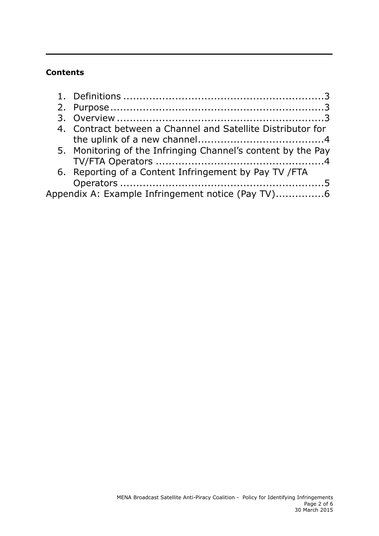## **Contents**

|                                                   | 4. Contract between a Channel and Satellite Distributor for  |  |  |
|---------------------------------------------------|--------------------------------------------------------------|--|--|
|                                                   |                                                              |  |  |
|                                                   | 5. Monitoring of the Infringing Channel's content by the Pay |  |  |
|                                                   |                                                              |  |  |
|                                                   | 6. Reporting of a Content Infringement by Pay TV / FTA       |  |  |
|                                                   |                                                              |  |  |
| Appendix A: Example Infringement notice (Pay TV)6 |                                                              |  |  |
|                                                   |                                                              |  |  |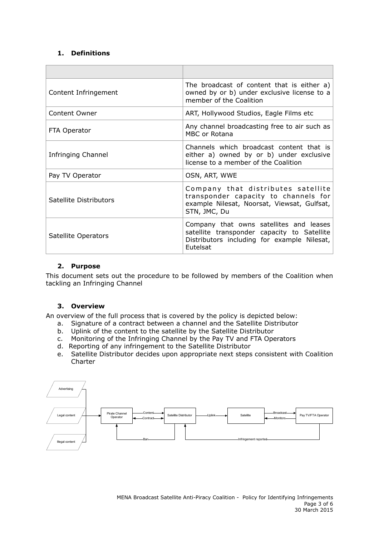### **1. Definitions**

| Content Infringement   | The broadcast of content that is either a)<br>owned by or b) under exclusive license to a<br>member of the Coalition                              |
|------------------------|---------------------------------------------------------------------------------------------------------------------------------------------------|
| Content Owner          | ART, Hollywood Studios, Eagle Films etc                                                                                                           |
| FTA Operator           | Any channel broadcasting free to air such as<br>MBC or Rotana                                                                                     |
| Infringing Channel     | Channels which broadcast content that is<br>either a) owned by or b) under exclusive<br>license to a member of the Coalition                      |
| Pay TV Operator        | OSN, ART, WWE                                                                                                                                     |
| Satellite Distributors | Company that distributes satellite<br>transponder capacity to channels for<br>example Nilesat, Noorsat, Viewsat, Gulfsat,<br>STN, JMC, Du         |
| Satellite Operators    | Company that owns satellites and leases<br>satellite transponder capacity to Satellite<br>Distributors including for example Nilesat,<br>Eutelsat |

#### **2. Purpose**

This document sets out the procedure to be followed by members of the Coalition when tackling an Infringing Channel

#### **3. Overview**

An overview of the full process that is covered by the policy is depicted below:

- a. Signature of a contract between a channel and the Satellite Distributor
- b. Uplink of the content to the satellite by the Satellite Distributor
- c. Monitoring of the Infringing Channel by the Pay TV and FTA Operators
- d. Reporting of any infringement to the Satellite Distributor
- e. Satellite Distributor decides upon appropriate next steps consistent with Coalition Charter

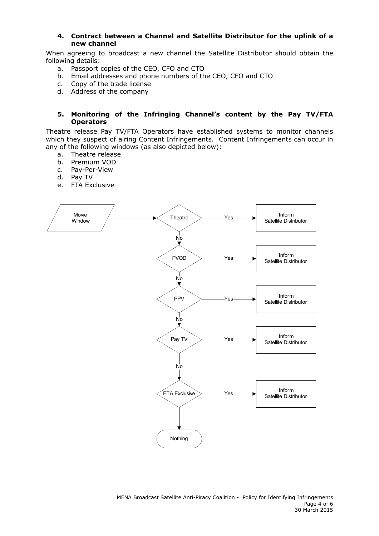#### **4. Contract between a Channel and Satellite Distributor for the uplink of a new channel**

When agreeing to broadcast a new channel the Satellite Distributor should obtain the following details:

- a. Passport copies of the CEO, CFO and CTO
- b. Email addresses and phone numbers of the CEO, CFO and CTO
- c. Copy of the trade license
- d. Address of the company

#### **5. Monitoring of the Infringing Channel's content by the Pay TV/FTA Operators**

Theatre release Pay TV/FTA Operators have established systems to monitor channels which they suspect of airing Content Infringements. Content Infringements can occur in any of the following windows (as also depicted below):

- a. Theatre release
- b. Premium VOD
- c. Pay-Per-View
- d. Pay TV
- e. FTA Exclusive

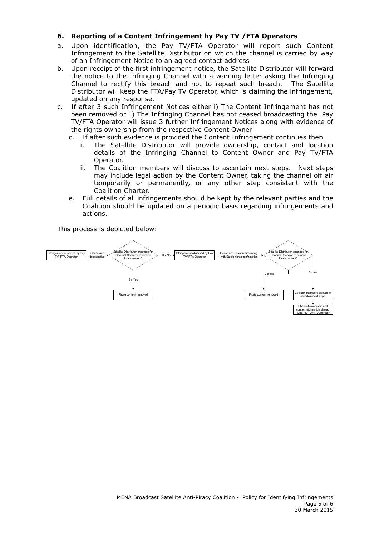### **6. Reporting of a Content Infringement by Pay TV /FTA Operators**

- a. Upon identification, the Pay TV/FTA Operator will report such Content Infringement to the Satellite Distributor on which the channel is carried by way of an Infringement Notice to an agreed contact address
- b. Upon receipt of the first infringement notice, the Satellite Distributor will forward the notice to the Infringing Channel with a warning letter asking the Infringing Channel to rectify this breach and not to repeat such breach. The Satellite Distributor will keep the FTA/Pay TV Operator, which is claiming the infringement, updated on any response.
- c. If after 3 such Infringement Notices either i) The Content Infringement has not been removed or ii) The Infringing Channel has not ceased broadcasting the Pay TV/FTA Operator will issue 3 further Infringement Notices along with evidence of the rights ownership from the respective Content Owner
	- d. If after such evidence is provided the Content Infringement continues then
		- i. The Satellite Distributor will provide ownership, contact and location details of the Infringing Channel to Content Owner and Pay TV/FTA Operator.
		- ii. The Coalition members will discuss to ascertain next steps. Next steps may include legal action by the Content Owner, taking the channel off air temporarily or permanently, or any other step consistent with the Coalition Charter.
	- e. Full details of all infringements should be kept by the relevant parties and the Coalition should be updated on a periodic basis regarding infringements and actions.

This process is depicted below: